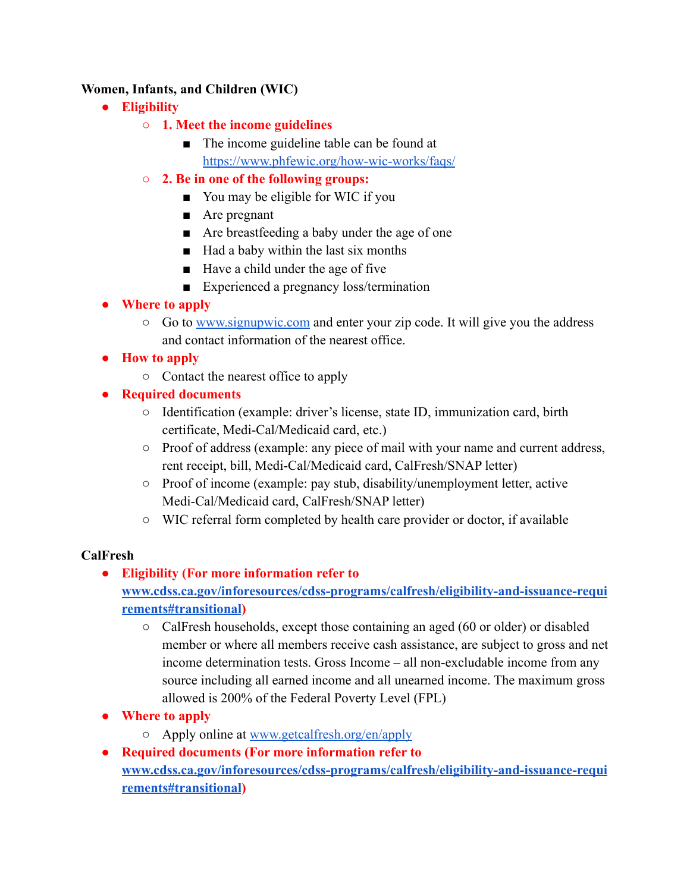#### **Women, Infants, and Children (WIC)**

- **● Eligibility**
	- **○ 1. Meet the income guidelines**
		- The income guideline table can be found at <https://www.phfewic.org/how-wic-works/faqs/>
	- **○ 2. Be in one of the following groups:**
		- You may be eligible for WIC if you
		- Are pregnant
		- Are breastfeeding a baby under the age of one
		- Had a baby within the last six months
		- Have a child under the age of five
		- Experienced a pregnancy loss/termination
- **● Where to apply**
	- Go to [www.signupwic.com](http://www.signupwic.com) and enter your zip code. It will give you the address and contact information of the nearest office.
- **● How to apply**
	- Contact the nearest office to apply
- **● Required documents**
	- Identification (example: driver's license, state ID, immunization card, birth certificate, Medi-Cal/Medicaid card, etc.)
	- Proof of address (example: any piece of mail with your name and current address, rent receipt, bill, Medi-Cal/Medicaid card, CalFresh/SNAP letter)
	- Proof of income (example: pay stub, disability/unemployment letter, active Medi-Cal/Medicaid card, CalFresh/SNAP letter)
	- WIC referral form completed by health care provider or doctor, if available

## **CalFresh**

## **● Eligibility (For more information refer to**

## **[www.cdss.ca.gov/inforesources/cdss-programs/calfresh/eligibility-and-issuance-requi](http://www.cdss.ca.gov/inforesources/cdss-programs/calfresh/eligibility-and-issuance-requirements#transitional) [rements#transitional](http://www.cdss.ca.gov/inforesources/cdss-programs/calfresh/eligibility-and-issuance-requirements#transitional))**

- $\circ$  CalFresh households, except those containing an aged (60 or older) or disabled member or where all members receive cash assistance, are subject to gross and net income determination tests. Gross Income – all non-excludable income from any source including all earned income and all unearned income. The maximum gross allowed is 200% of the Federal Poverty Level (FPL)
- **● Where to apply**
	- Apply online at [www.getcalfresh.org/en/apply](http://www.getcalfresh.org/en/apply)
- **● Required documents (For more information refer to [www.cdss.ca.gov/inforesources/cdss-programs/calfresh/eligibility-and-issuance-requi](http://www.cdss.ca.gov/inforesources/cdss-programs/calfresh/eligibility-and-issuance-requirements#transitional) [rements#transitional](http://www.cdss.ca.gov/inforesources/cdss-programs/calfresh/eligibility-and-issuance-requirements#transitional))**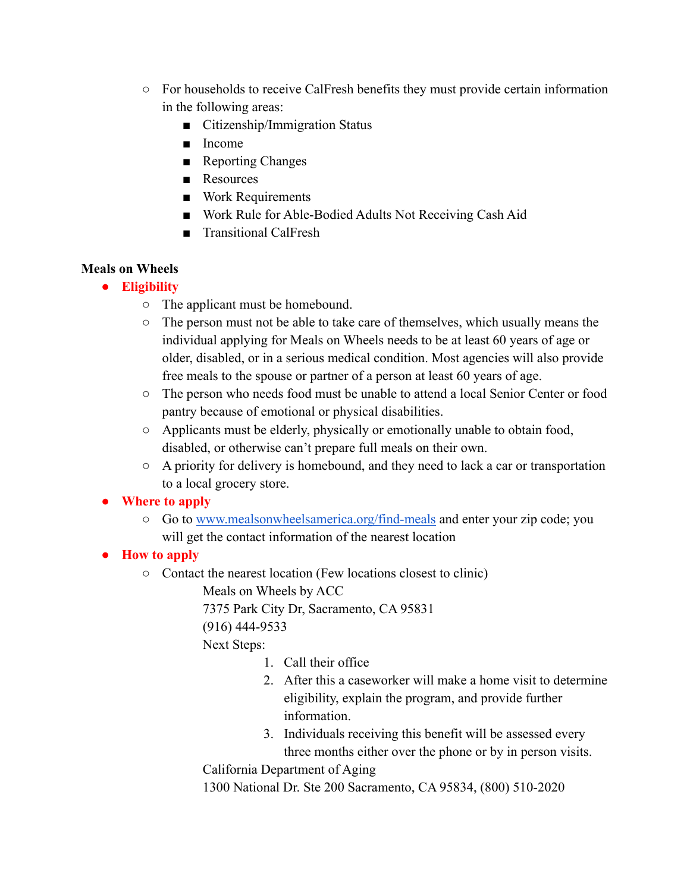- For households to receive CalFresh benefits they must provide certain information in the following areas:
	- Citizenship/Immigration Status
	- Income
	- Reporting Changes
	- Resources
	- Work Requirements
	- Work Rule for Able-Bodied Adults Not Receiving Cash Aid
	- Transitional CalFresh

## **Meals on Wheels**

- **● Eligibility**
	- The applicant must be homebound.
	- The person must not be able to take care of themselves, which usually means the individual applying for Meals on Wheels needs to be at least 60 years of age or older, disabled, or in a serious medical condition. Most agencies will also provide free meals to the spouse or partner of a person at least 60 years of age.
	- The person who needs food must be unable to attend a local Senior Center or food pantry because of emotional or physical disabilities.
	- Applicants must be elderly, physically or emotionally unable to obtain food, disabled, or otherwise can't prepare full meals on their own.
	- $\circ$  A priority for delivery is homebound, and they need to lack a car or transportation to a local grocery store.

# **● Where to apply**

- Go to [www.mealsonwheelsamerica.org/find-meals](http://www.mealsonwheelsamerica.org/find-meals) and enter your zip code; you will get the contact information of the nearest location
- **● How to apply**
	- Contact the nearest location (Few locations closest to clinic)
		- Meals on Wheels by ACC

7375 Park City Dr, Sacramento, CA 95831

(916) 444-9533

Next Steps:

- 1. Call their office
- 2. After this a caseworker will make a home visit to determine eligibility, explain the program, and provide further information.
- 3. Individuals receiving this benefit will be assessed every three months either over the phone or by in person visits.

California Department of Aging

1300 National Dr. Ste 200 Sacramento, CA 95834, (800) 510-2020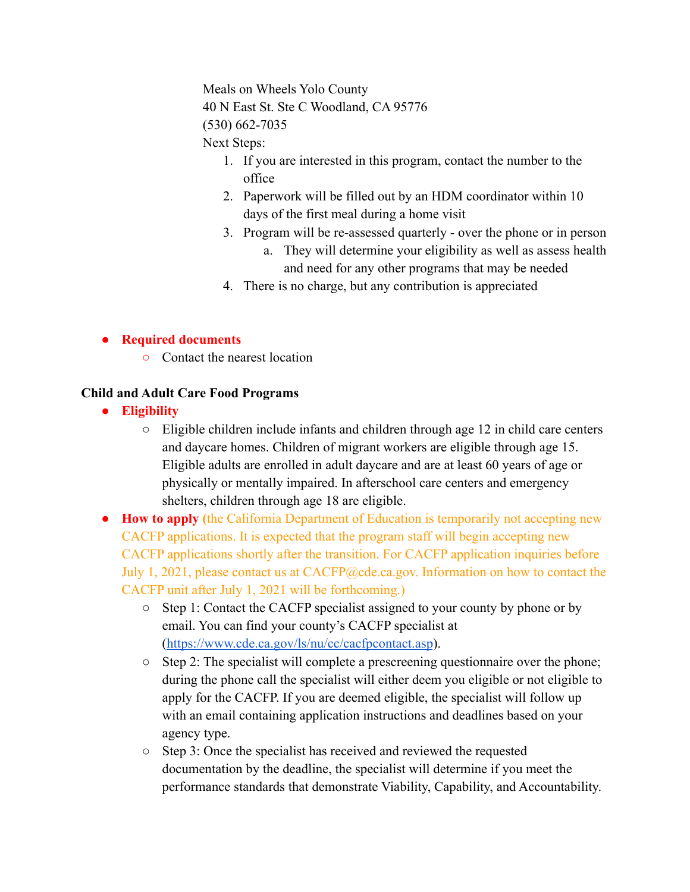Meals on Wheels Yolo County 40 N East St. Ste C Woodland, CA 95776 (530) 662-7035

Next Steps:

- 1. If you are interested in this program, contact the number to the office
- 2. Paperwork will be filled out by an HDM coordinator within 10 days of the first meal during a home visit
- 3. Program will be re-assessed quarterly over the phone or in person a. They will determine your eligibility as well as assess health
	- and need for any other programs that may be needed
- 4. There is no charge, but any contribution is appreciated

#### **● Required documents**

**○** Contact the nearest location

#### **Child and Adult Care Food Programs**

- **● Eligibility**
	- Eligible children include infants and children through age 12 in child care centers and daycare homes. Children of migrant workers are eligible through age 15. Eligible adults are enrolled in adult daycare and are at least 60 years of age or physically or mentally impaired. In afterschool care centers and emergency shelters, children through age 18 are eligible.
- **● How to apply (**the California Department of Education is temporarily not accepting new CACFP applications. It is expected that the program staff will begin accepting new CACFP applications shortly after the transition. For CACFP application inquiries before July 1, 2021, please contact us at CACFP@cde.ca.gov. Information on how to contact the CACFP unit after July 1, 2021 will be forthcoming.)
	- Step 1: Contact the CACFP specialist assigned to your county by phone or by email. You can find your county's CACFP specialist at (<https://www.cde.ca.gov/ls/nu/cc/cacfpcontact.asp>).
	- Step 2: The specialist will complete a prescreening questionnaire over the phone; during the phone call the specialist will either deem you eligible or not eligible to apply for the CACFP. If you are deemed eligible, the specialist will follow up with an email containing application instructions and deadlines based on your agency type.
	- Step 3: Once the specialist has received and reviewed the requested documentation by the deadline, the specialist will determine if you meet the performance standards that demonstrate Viability, Capability, and Accountability.